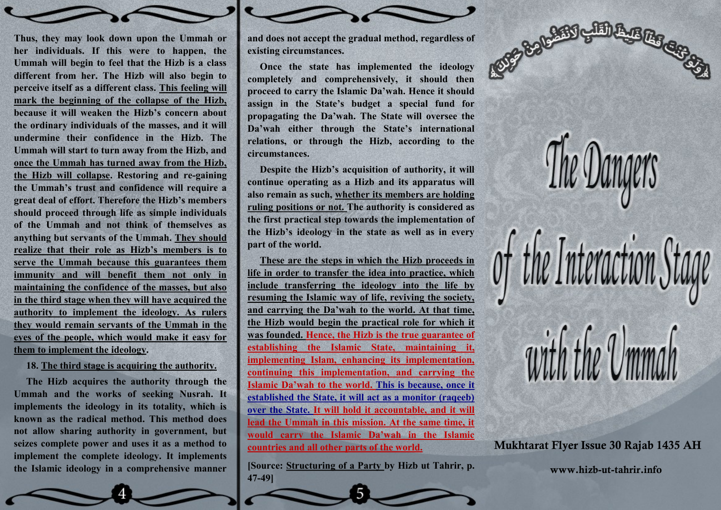

## **18. The third stage is acquiring the authority.**

**The Hizb acquires the authority through the Ummah and the works of seeking Nusrah. It implements the ideology in its totality, which is known as the radical method. This method does not allow sharing authority in government, but seizes complete power and uses it as a method to implement the complete ideology. It implements the Islamic ideology in a comprehensive manner** 

**and does not accept the gradual method, regardless of existing circumstances.**

**Once the state has implemented the ideology completely and comprehensively, it should then proceed to carry the Islamic Da'wah. Hence it should assign in the State's budget a special fund for propagating the Da'wah. The State will oversee the Da'wah either through the State's international relations, or through the Hizb, according to the circumstances.**

**Despite the Hizb's acquisition of authority, it will continue operating as a Hizb and its apparatus will also remain as such, whether its members are holding ruling positions or not. The authority is considered as the first practical step towards the implementation of the Hizb's ideology in the state as well as in every part of the world.**

**These are the steps in which the Hizb proceeds in life in order to transfer the idea into practice, which include transferring the ideology into the life by resuming the Islamic way of life, reviving the society, and carrying the Da'wah to the world. At that time, the Hizb would begin the practical role for which it was founded. Hence, the Hizb is the true guarantee of establishing the Islamic State, maintaining it, implementing Islam, enhancing its implementation, continuing this implementation, and carrying the Islamic Da'wah to the world. This is because, once it established the State, it will act as a monitor (raqeeb) over the State. It will hold it accountable, and it will lead the Ummah in this mission. At the same time, it would carry the Islamic Da'wah in the Islamic countries and all other parts of the world.**

**[Source: Structuring of a Party by Hizb ut Tahrir, p. 47-49]**



**Mukhtarat Flyer Issue 30 Rajab 1435 AH**

**www.hizb-ut-tahrir.info**